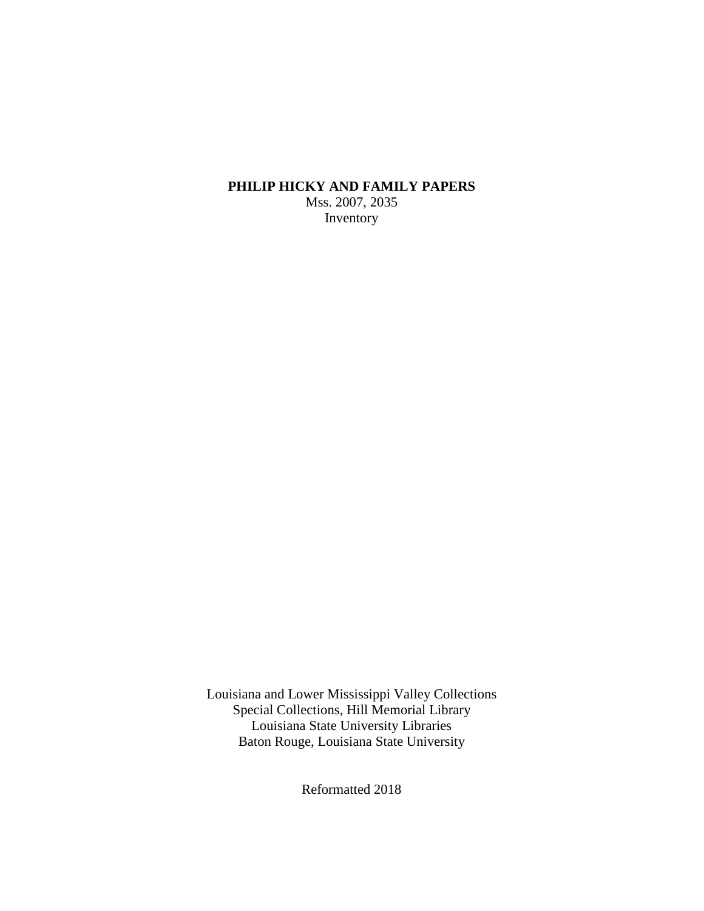### **PHILIP HICKY AND FAMILY PAPERS** Mss. 2007, 2035 Inventory

Louisiana and Lower Mississippi Valley Collections Special Collections, Hill Memorial Library Louisiana State University Libraries Baton Rouge, Louisiana State University

Reformatted 2018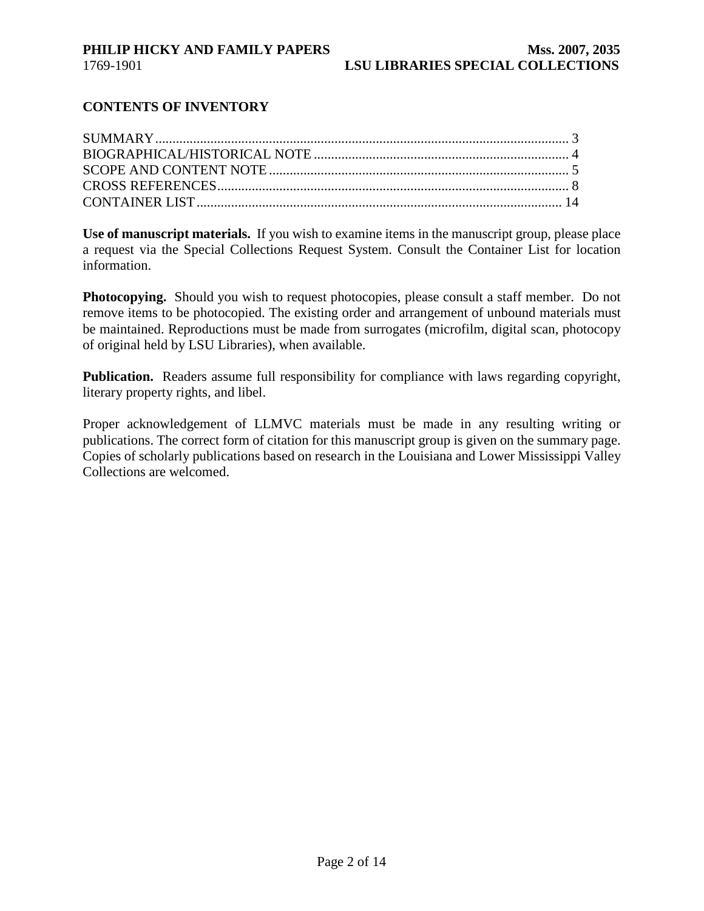### **CONTENTS OF INVENTORY**

**Use of manuscript materials.** If you wish to examine items in the manuscript group, please place a request via the Special Collections Request System. Consult the Container List for location information.

**Photocopying.** Should you wish to request photocopies, please consult a staff member. Do not remove items to be photocopied. The existing order and arrangement of unbound materials must be maintained. Reproductions must be made from surrogates (microfilm, digital scan, photocopy of original held by LSU Libraries), when available.

**Publication.** Readers assume full responsibility for compliance with laws regarding copyright, literary property rights, and libel.

Proper acknowledgement of LLMVC materials must be made in any resulting writing or publications. The correct form of citation for this manuscript group is given on the summary page. Copies of scholarly publications based on research in the Louisiana and Lower Mississippi Valley Collections are welcomed.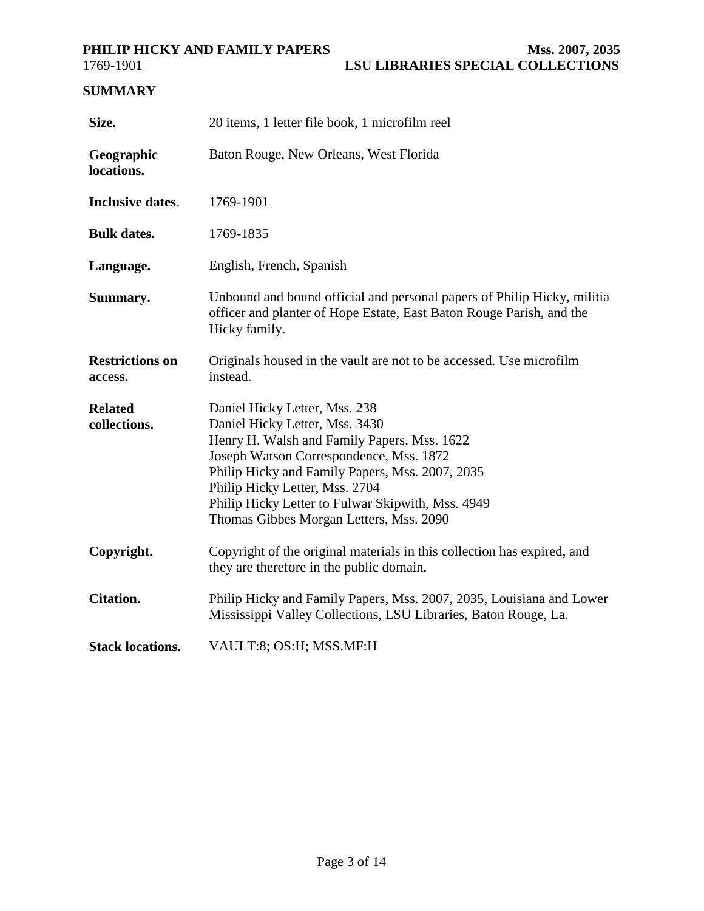<span id="page-2-0"></span>

## **SUMMARY**

| Size.                             | 20 items, 1 letter file book, 1 microfilm reel                                                                                                                                                                                                                                                                                                 |
|-----------------------------------|------------------------------------------------------------------------------------------------------------------------------------------------------------------------------------------------------------------------------------------------------------------------------------------------------------------------------------------------|
| Geographic<br>locations.          | Baton Rouge, New Orleans, West Florida                                                                                                                                                                                                                                                                                                         |
| <b>Inclusive dates.</b>           | 1769-1901                                                                                                                                                                                                                                                                                                                                      |
| <b>Bulk dates.</b>                | 1769-1835                                                                                                                                                                                                                                                                                                                                      |
| Language.                         | English, French, Spanish                                                                                                                                                                                                                                                                                                                       |
| Summary.                          | Unbound and bound official and personal papers of Philip Hicky, militia<br>officer and planter of Hope Estate, East Baton Rouge Parish, and the<br>Hicky family.                                                                                                                                                                               |
| <b>Restrictions on</b><br>access. | Originals housed in the vault are not to be accessed. Use microfilm<br>instead.                                                                                                                                                                                                                                                                |
| <b>Related</b><br>collections.    | Daniel Hicky Letter, Mss. 238<br>Daniel Hicky Letter, Mss. 3430<br>Henry H. Walsh and Family Papers, Mss. 1622<br>Joseph Watson Correspondence, Mss. 1872<br>Philip Hicky and Family Papers, Mss. 2007, 2035<br>Philip Hicky Letter, Mss. 2704<br>Philip Hicky Letter to Fulwar Skipwith, Mss. 4949<br>Thomas Gibbes Morgan Letters, Mss. 2090 |
| Copyright.                        | Copyright of the original materials in this collection has expired, and<br>they are therefore in the public domain.                                                                                                                                                                                                                            |
| <b>Citation.</b>                  | Philip Hicky and Family Papers, Mss. 2007, 2035, Louisiana and Lower<br>Mississippi Valley Collections, LSU Libraries, Baton Rouge, La.                                                                                                                                                                                                        |
| <b>Stack locations.</b>           | VAULT:8; OS:H; MSS.MF:H                                                                                                                                                                                                                                                                                                                        |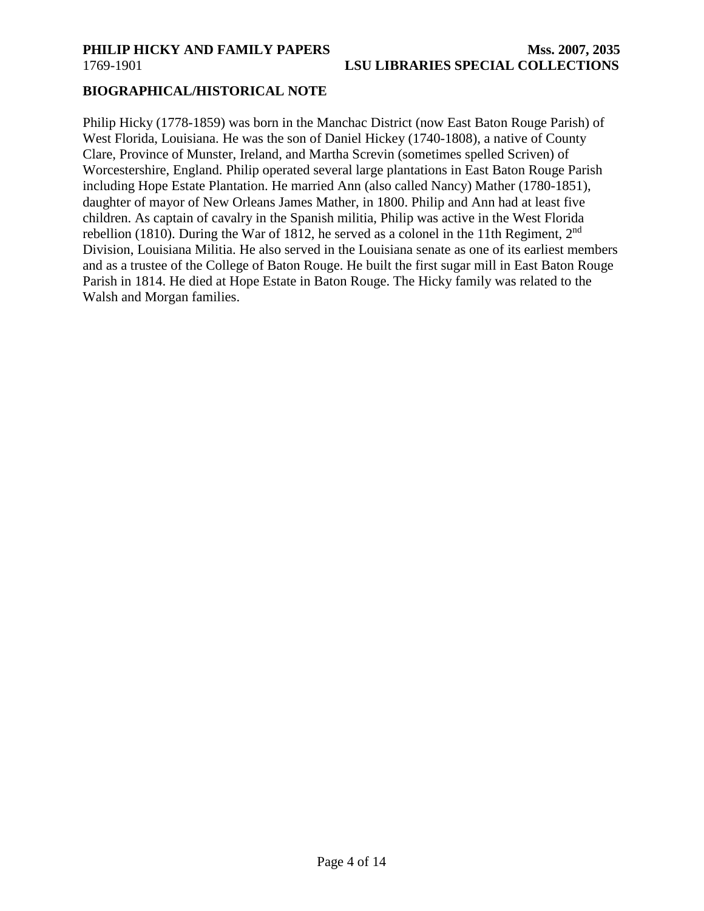### <span id="page-3-0"></span>**BIOGRAPHICAL/HISTORICAL NOTE**

Philip Hicky (1778-1859) was born in the Manchac District (now East Baton Rouge Parish) of West Florida, Louisiana. He was the son of Daniel Hickey (1740-1808), a native of County Clare, Province of Munster, Ireland, and Martha Screvin (sometimes spelled Scriven) of Worcestershire, England. Philip operated several large plantations in East Baton Rouge Parish including Hope Estate Plantation. He married Ann (also called Nancy) Mather (1780-1851), daughter of mayor of New Orleans James Mather, in 1800. Philip and Ann had at least five children. As captain of cavalry in the Spanish militia, Philip was active in the West Florida rebellion (1810). During the War of 1812, he served as a colonel in the 11th Regiment,  $2<sup>nd</sup>$ Division, Louisiana Militia. He also served in the Louisiana senate as one of its earliest members and as a trustee of the College of Baton Rouge. He built the first sugar mill in East Baton Rouge Parish in 1814. He died at Hope Estate in Baton Rouge. The Hicky family was related to the Walsh and Morgan families.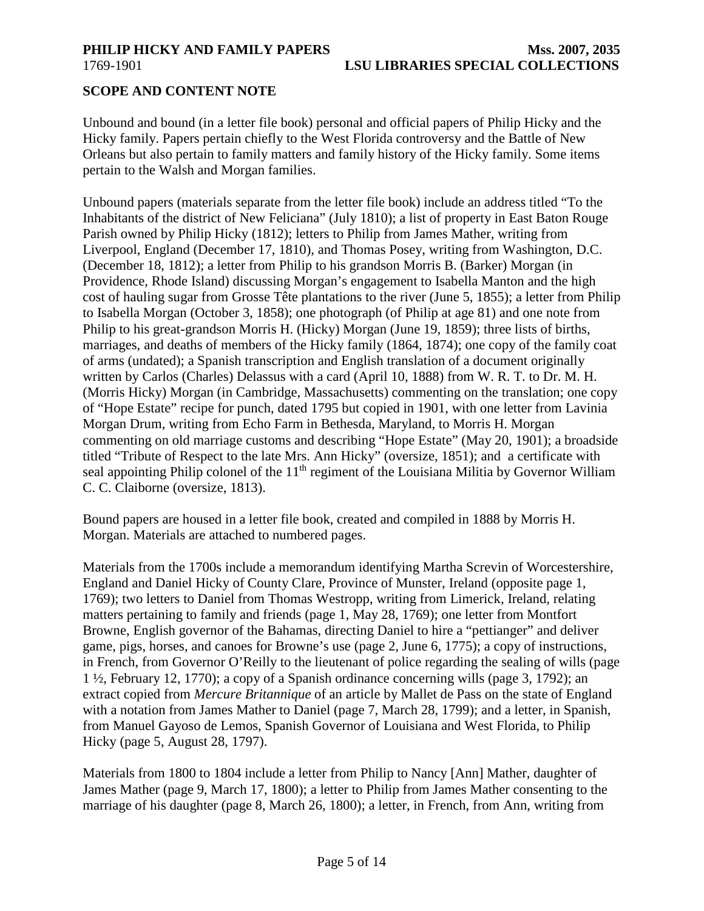### <span id="page-4-0"></span>**SCOPE AND CONTENT NOTE**

Unbound and bound (in a letter file book) personal and official papers of Philip Hicky and the Hicky family. Papers pertain chiefly to the West Florida controversy and the Battle of New Orleans but also pertain to family matters and family history of the Hicky family. Some items pertain to the Walsh and Morgan families.

Unbound papers (materials separate from the letter file book) include an address titled "To the Inhabitants of the district of New Feliciana" (July 1810); a list of property in East Baton Rouge Parish owned by Philip Hicky (1812); letters to Philip from James Mather, writing from Liverpool, England (December 17, 1810), and Thomas Posey, writing from Washington, D.C. (December 18, 1812); a letter from Philip to his grandson Morris B. (Barker) Morgan (in Providence, Rhode Island) discussing Morgan's engagement to Isabella Manton and the high cost of hauling sugar from Grosse Tête plantations to the river (June 5, 1855); a letter from Philip to Isabella Morgan (October 3, 1858); one photograph (of Philip at age 81) and one note from Philip to his great-grandson Morris H. (Hicky) Morgan (June 19, 1859); three lists of births, marriages, and deaths of members of the Hicky family (1864, 1874); one copy of the family coat of arms (undated); a Spanish transcription and English translation of a document originally written by Carlos (Charles) Delassus with a card (April 10, 1888) from W. R. T. to Dr. M. H. (Morris Hicky) Morgan (in Cambridge, Massachusetts) commenting on the translation; one copy of "Hope Estate" recipe for punch, dated 1795 but copied in 1901, with one letter from Lavinia Morgan Drum, writing from Echo Farm in Bethesda, Maryland, to Morris H. Morgan commenting on old marriage customs and describing "Hope Estate" (May 20, 1901); a broadside titled "Tribute of Respect to the late Mrs. Ann Hicky" (oversize, 1851); and a certificate with seal appointing Philip colonel of the  $11<sup>th</sup>$  regiment of the Louisiana Militia by Governor William C. C. Claiborne (oversize, 1813).

Bound papers are housed in a letter file book, created and compiled in 1888 by Morris H. Morgan. Materials are attached to numbered pages.

Materials from the 1700s include a memorandum identifying Martha Screvin of Worcestershire, England and Daniel Hicky of County Clare, Province of Munster, Ireland (opposite page 1, 1769); two letters to Daniel from Thomas Westropp, writing from Limerick, Ireland, relating matters pertaining to family and friends (page 1, May 28, 1769); one letter from Montfort Browne, English governor of the Bahamas, directing Daniel to hire a "pettianger" and deliver game, pigs, horses, and canoes for Browne's use (page 2, June 6, 1775); a copy of instructions, in French, from Governor O'Reilly to the lieutenant of police regarding the sealing of wills (page 1 ½, February 12, 1770); a copy of a Spanish ordinance concerning wills (page 3, 1792); an extract copied from *Mercure Britannique* of an article by Mallet de Pass on the state of England with a notation from James Mather to Daniel (page 7, March 28, 1799); and a letter, in Spanish, from Manuel Gayoso de Lemos, Spanish Governor of Louisiana and West Florida, to Philip Hicky (page 5, August 28, 1797).

Materials from 1800 to 1804 include a letter from Philip to Nancy [Ann] Mather, daughter of James Mather (page 9, March 17, 1800); a letter to Philip from James Mather consenting to the marriage of his daughter (page 8, March 26, 1800); a letter, in French, from Ann, writing from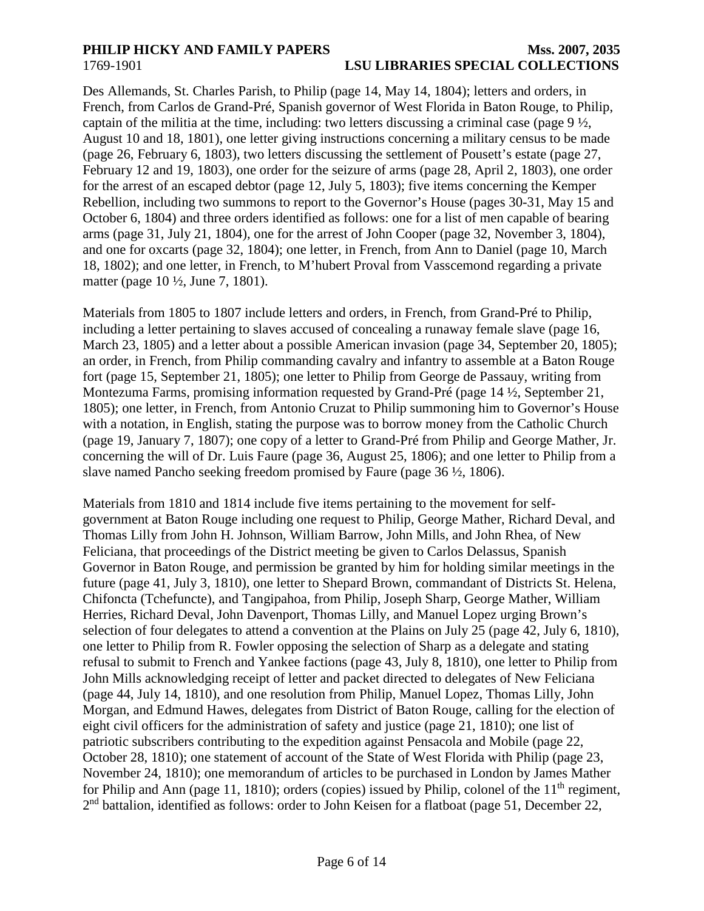Des Allemands, St. Charles Parish, to Philip (page 14, May 14, 1804); letters and orders, in French, from Carlos de Grand-Pré, Spanish governor of West Florida in Baton Rouge, to Philip, captain of the militia at the time, including: two letters discussing a criminal case (page  $9\frac{1}{2}$ , August 10 and 18, 1801), one letter giving instructions concerning a military census to be made (page 26, February 6, 1803), two letters discussing the settlement of Pousett's estate (page 27, February 12 and 19, 1803), one order for the seizure of arms (page 28, April 2, 1803), one order for the arrest of an escaped debtor (page 12, July 5, 1803); five items concerning the Kemper Rebellion, including two summons to report to the Governor's House (pages 30-31, May 15 and October 6, 1804) and three orders identified as follows: one for a list of men capable of bearing arms (page 31, July 21, 1804), one for the arrest of John Cooper (page 32, November 3, 1804), and one for oxcarts (page 32, 1804); one letter, in French, from Ann to Daniel (page 10, March 18, 1802); and one letter, in French, to M'hubert Proval from Vasscemond regarding a private matter (page 10 ½, June 7, 1801).

Materials from 1805 to 1807 include letters and orders, in French, from Grand-Pré to Philip, including a letter pertaining to slaves accused of concealing a runaway female slave (page 16, March 23, 1805) and a letter about a possible American invasion (page 34, September 20, 1805); an order, in French, from Philip commanding cavalry and infantry to assemble at a Baton Rouge fort (page 15, September 21, 1805); one letter to Philip from George de Passauy, writing from Montezuma Farms, promising information requested by Grand-Pré (page 14 ½, September 21, 1805); one letter, in French, from Antonio Cruzat to Philip summoning him to Governor's House with a notation, in English, stating the purpose was to borrow money from the Catholic Church (page 19, January 7, 1807); one copy of a letter to Grand-Pré from Philip and George Mather, Jr. concerning the will of Dr. Luis Faure (page 36, August 25, 1806); and one letter to Philip from a slave named Pancho seeking freedom promised by Faure (page 36 ½, 1806).

Materials from 1810 and 1814 include five items pertaining to the movement for selfgovernment at Baton Rouge including one request to Philip, George Mather, Richard Deval, and Thomas Lilly from John H. Johnson, William Barrow, John Mills, and John Rhea, of New Feliciana, that proceedings of the District meeting be given to Carlos Delassus, Spanish Governor in Baton Rouge, and permission be granted by him for holding similar meetings in the future (page 41, July 3, 1810), one letter to Shepard Brown, commandant of Districts St. Helena, Chifoncta (Tchefuncte), and Tangipahoa, from Philip, Joseph Sharp, George Mather, William Herries, Richard Deval, John Davenport, Thomas Lilly, and Manuel Lopez urging Brown's selection of four delegates to attend a convention at the Plains on July 25 (page 42, July 6, 1810), one letter to Philip from R. Fowler opposing the selection of Sharp as a delegate and stating refusal to submit to French and Yankee factions (page 43, July 8, 1810), one letter to Philip from John Mills acknowledging receipt of letter and packet directed to delegates of New Feliciana (page 44, July 14, 1810), and one resolution from Philip, Manuel Lopez, Thomas Lilly, John Morgan, and Edmund Hawes, delegates from District of Baton Rouge, calling for the election of eight civil officers for the administration of safety and justice (page 21, 1810); one list of patriotic subscribers contributing to the expedition against Pensacola and Mobile (page 22, October 28, 1810); one statement of account of the State of West Florida with Philip (page 23, November 24, 1810); one memorandum of articles to be purchased in London by James Mather for Philip and Ann (page 11, 1810); orders (copies) issued by Philip, colonel of the  $11<sup>th</sup>$  regiment, 2<sup>nd</sup> battalion, identified as follows: order to John Keisen for a flatboat (page 51, December 22,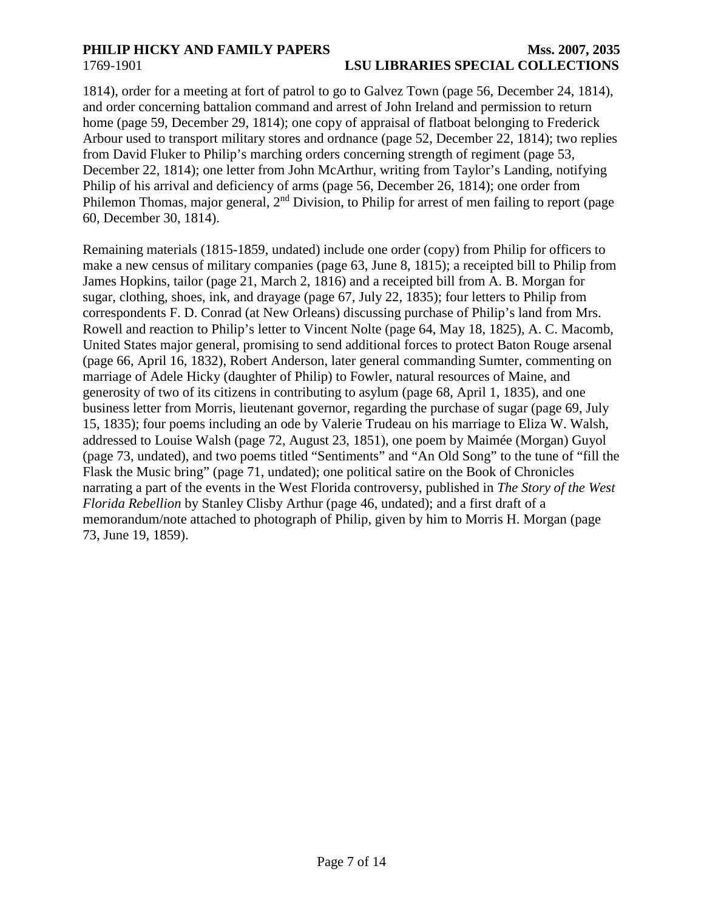1814), order for a meeting at fort of patrol to go to Galvez Town (page 56, December 24, 1814), and order concerning battalion command and arrest of John Ireland and permission to return home (page 59, December 29, 1814); one copy of appraisal of flatboat belonging to Frederick Arbour used to transport military stores and ordnance (page 52, December 22, 1814); two replies from David Fluker to Philip's marching orders concerning strength of regiment (page 53, December 22, 1814); one letter from John McArthur, writing from Taylor's Landing, notifying Philip of his arrival and deficiency of arms (page 56, December 26, 1814); one order from Philemon Thomas, major general, 2<sup>nd</sup> Division, to Philip for arrest of men failing to report (page 60, December 30, 1814).

Remaining materials (1815-1859, undated) include one order (copy) from Philip for officers to make a new census of military companies (page 63, June 8, 1815); a receipted bill to Philip from James Hopkins, tailor (page 21, March 2, 1816) and a receipted bill from A. B. Morgan for sugar, clothing, shoes, ink, and drayage (page 67, July 22, 1835); four letters to Philip from correspondents F. D. Conrad (at New Orleans) discussing purchase of Philip's land from Mrs. Rowell and reaction to Philip's letter to Vincent Nolte (page 64, May 18, 1825), A. C. Macomb, United States major general, promising to send additional forces to protect Baton Rouge arsenal (page 66, April 16, 1832), Robert Anderson, later general commanding Sumter, commenting on marriage of Adele Hicky (daughter of Philip) to Fowler, natural resources of Maine, and generosity of two of its citizens in contributing to asylum (page 68, April 1, 1835), and one business letter from Morris, lieutenant governor, regarding the purchase of sugar (page 69, July 15, 1835); four poems including an ode by Valerie Trudeau on his marriage to Eliza W. Walsh, addressed to Louise Walsh (page 72, August 23, 1851), one poem by Maimée (Morgan) Guyol (page 73, undated), and two poems titled "Sentiments" and "An Old Song" to the tune of "fill the Flask the Music bring" (page 71, undated); one political satire on the Book of Chronicles narrating a part of the events in the West Florida controversy, published in *The Story of the West Florida Rebellion* by Stanley Clisby Arthur (page 46, undated); and a first draft of a memorandum/note attached to photograph of Philip, given by him to Morris H. Morgan (page 73, June 19, 1859).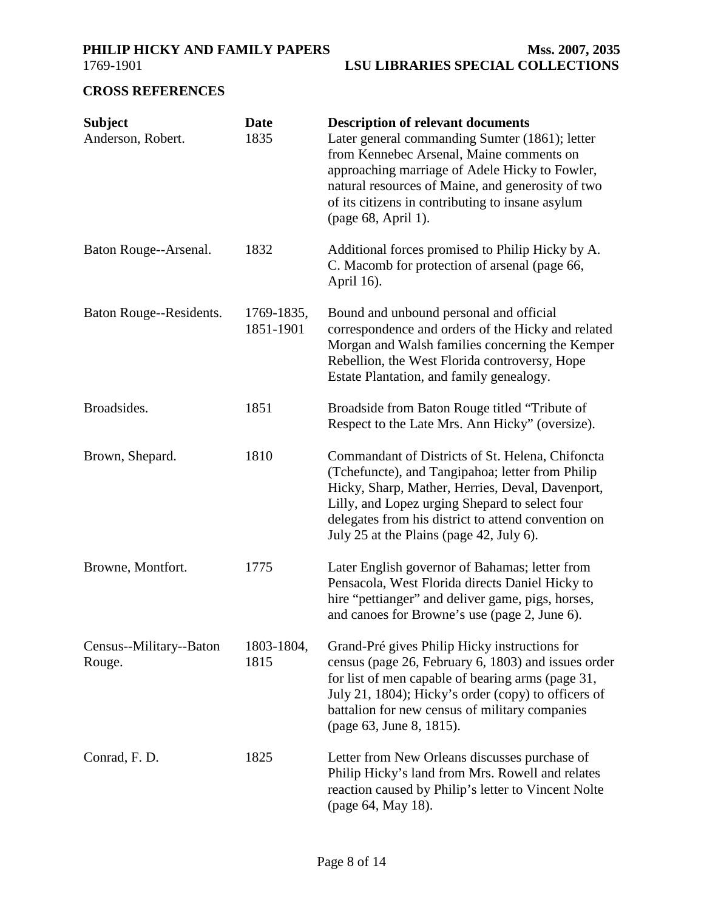<span id="page-7-0"></span>

## **CROSS REFERENCES**

| <b>Subject</b><br>Anderson, Robert. | <b>Date</b><br>1835     | <b>Description of relevant documents</b><br>Later general commanding Sumter (1861); letter<br>from Kennebec Arsenal, Maine comments on<br>approaching marriage of Adele Hicky to Fowler,<br>natural resources of Maine, and generosity of two<br>of its citizens in contributing to insane asylum<br>(page 68, April 1). |
|-------------------------------------|-------------------------|--------------------------------------------------------------------------------------------------------------------------------------------------------------------------------------------------------------------------------------------------------------------------------------------------------------------------|
| Baton Rouge--Arsenal.               | 1832                    | Additional forces promised to Philip Hicky by A.<br>C. Macomb for protection of arsenal (page 66,<br>April 16).                                                                                                                                                                                                          |
| Baton Rouge--Residents.             | 1769-1835,<br>1851-1901 | Bound and unbound personal and official<br>correspondence and orders of the Hicky and related<br>Morgan and Walsh families concerning the Kemper<br>Rebellion, the West Florida controversy, Hope<br>Estate Plantation, and family genealogy.                                                                            |
| Broadsides.                         | 1851                    | Broadside from Baton Rouge titled "Tribute of<br>Respect to the Late Mrs. Ann Hicky" (oversize).                                                                                                                                                                                                                         |
| Brown, Shepard.                     | 1810                    | Commandant of Districts of St. Helena, Chifoncta<br>(Tchefuncte), and Tangipahoa; letter from Philip<br>Hicky, Sharp, Mather, Herries, Deval, Davenport,<br>Lilly, and Lopez urging Shepard to select four<br>delegates from his district to attend convention on<br>July 25 at the Plains (page 42, July 6).            |
| Browne, Montfort.                   | 1775                    | Later English governor of Bahamas; letter from<br>Pensacola, West Florida directs Daniel Hicky to<br>hire "pettianger" and deliver game, pigs, horses,<br>and canoes for Browne's use (page 2, June 6).                                                                                                                  |
| Census--Military--Baton<br>Rouge.   | 1803-1804,<br>1815      | Grand-Pré gives Philip Hicky instructions for<br>census (page 26, February 6, 1803) and issues order<br>for list of men capable of bearing arms (page 31,<br>July 21, 1804); Hicky's order (copy) to officers of<br>battalion for new census of military companies<br>(page 63, June 8, 1815).                           |
| Conrad, F. D.                       | 1825                    | Letter from New Orleans discusses purchase of<br>Philip Hicky's land from Mrs. Rowell and relates<br>reaction caused by Philip's letter to Vincent Nolte<br>(page 64, May 18).                                                                                                                                           |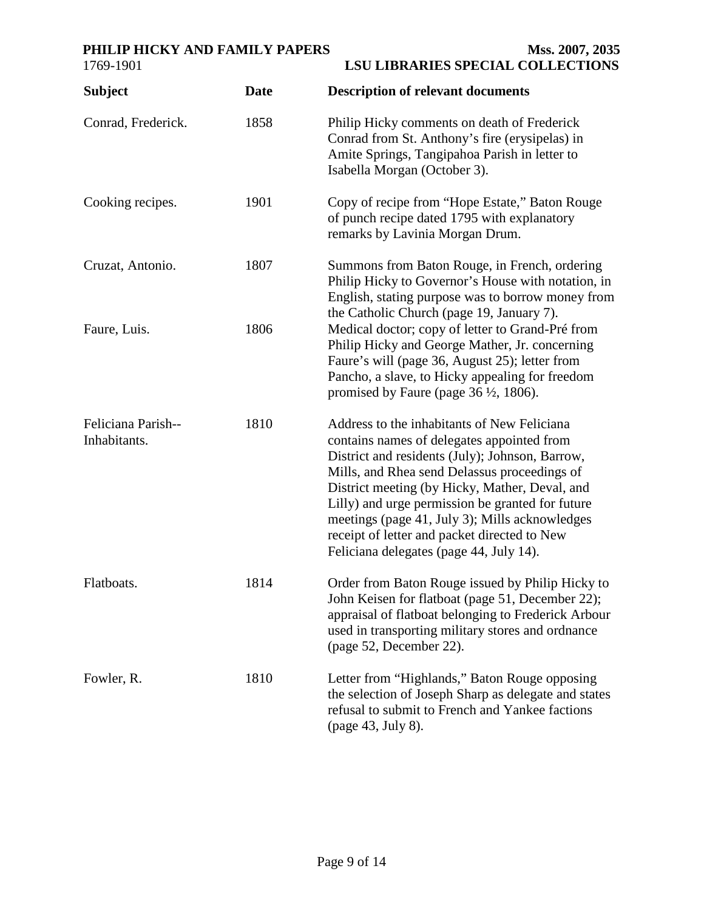## PHILIP HICKY AND FAMILY PAPERS Mss. 2007, 2035

| <b>Subject</b>                     | <b>Date</b> | <b>Description of relevant documents</b>                                                                                                                                                                                                                                                                                                                                                                                                        |
|------------------------------------|-------------|-------------------------------------------------------------------------------------------------------------------------------------------------------------------------------------------------------------------------------------------------------------------------------------------------------------------------------------------------------------------------------------------------------------------------------------------------|
| Conrad, Frederick.                 | 1858        | Philip Hicky comments on death of Frederick<br>Conrad from St. Anthony's fire (erysipelas) in<br>Amite Springs, Tangipahoa Parish in letter to<br>Isabella Morgan (October 3).                                                                                                                                                                                                                                                                  |
| Cooking recipes.                   | 1901        | Copy of recipe from "Hope Estate," Baton Rouge<br>of punch recipe dated 1795 with explanatory<br>remarks by Lavinia Morgan Drum.                                                                                                                                                                                                                                                                                                                |
| Cruzat, Antonio.                   | 1807        | Summons from Baton Rouge, in French, ordering<br>Philip Hicky to Governor's House with notation, in<br>English, stating purpose was to borrow money from<br>the Catholic Church (page 19, January 7).                                                                                                                                                                                                                                           |
| Faure, Luis.                       | 1806        | Medical doctor; copy of letter to Grand-Pré from<br>Philip Hicky and George Mather, Jr. concerning<br>Faure's will (page 36, August 25); letter from<br>Pancho, a slave, to Hicky appealing for freedom<br>promised by Faure (page $36 \frac{1}{2}$ , 1806).                                                                                                                                                                                    |
| Feliciana Parish--<br>Inhabitants. | 1810        | Address to the inhabitants of New Feliciana<br>contains names of delegates appointed from<br>District and residents (July); Johnson, Barrow,<br>Mills, and Rhea send Delassus proceedings of<br>District meeting (by Hicky, Mather, Deval, and<br>Lilly) and urge permission be granted for future<br>meetings (page 41, July 3); Mills acknowledges<br>receipt of letter and packet directed to New<br>Feliciana delegates (page 44, July 14). |
| Flatboats.                         | 1814        | Order from Baton Rouge issued by Philip Hicky to<br>John Keisen for flatboat (page 51, December 22);<br>appraisal of flatboat belonging to Frederick Arbour<br>used in transporting military stores and ordnance<br>(page 52, December 22).                                                                                                                                                                                                     |
| Fowler, R.                         | 1810        | Letter from "Highlands," Baton Rouge opposing<br>the selection of Joseph Sharp as delegate and states<br>refusal to submit to French and Yankee factions<br>(page 43, July 8).                                                                                                                                                                                                                                                                  |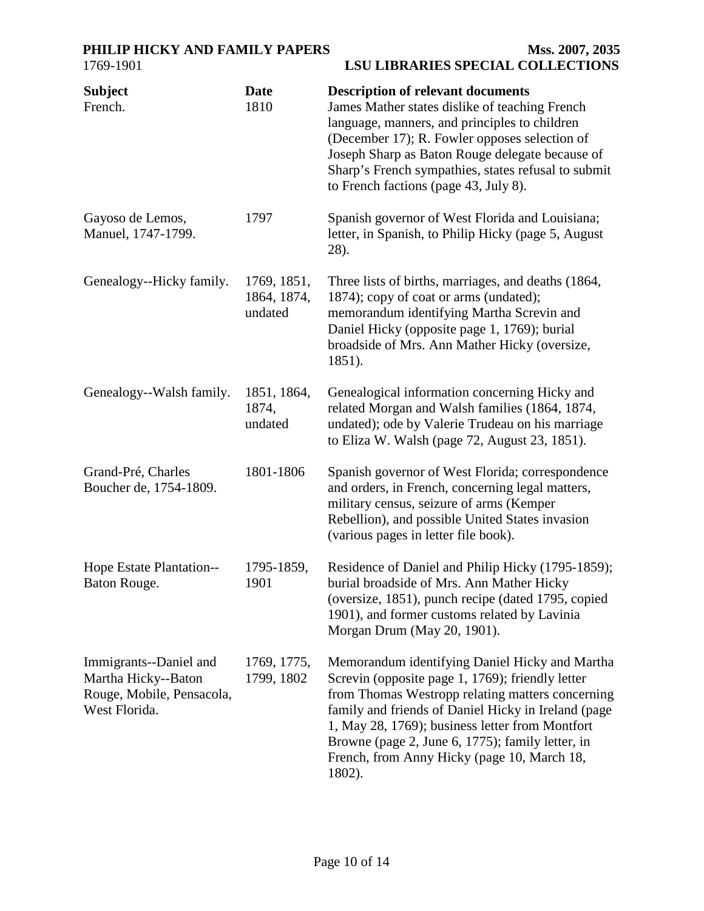| <b>Subject</b><br>French.                                                                   | <b>Date</b><br>1810                   | <b>Description of relevant documents</b><br>James Mather states dislike of teaching French<br>language, manners, and principles to children<br>(December 17); R. Fowler opposes selection of<br>Joseph Sharp as Baton Rouge delegate because of<br>Sharp's French sympathies, states refusal to submit<br>to French factions (page 43, July 8).                               |
|---------------------------------------------------------------------------------------------|---------------------------------------|-------------------------------------------------------------------------------------------------------------------------------------------------------------------------------------------------------------------------------------------------------------------------------------------------------------------------------------------------------------------------------|
| Gayoso de Lemos,<br>Manuel, 1747-1799.                                                      | 1797                                  | Spanish governor of West Florida and Louisiana;<br>letter, in Spanish, to Philip Hicky (page 5, August<br>28).                                                                                                                                                                                                                                                                |
| Genealogy--Hicky family.                                                                    | 1769, 1851,<br>1864, 1874,<br>undated | Three lists of births, marriages, and deaths (1864,<br>1874); copy of coat or arms (undated);<br>memorandum identifying Martha Screvin and<br>Daniel Hicky (opposite page 1, 1769); burial<br>broadside of Mrs. Ann Mather Hicky (oversize,<br>1851).                                                                                                                         |
| Genealogy--Walsh family.                                                                    | 1851, 1864,<br>1874,<br>undated       | Genealogical information concerning Hicky and<br>related Morgan and Walsh families (1864, 1874,<br>undated); ode by Valerie Trudeau on his marriage<br>to Eliza W. Walsh (page 72, August 23, 1851).                                                                                                                                                                          |
| Grand-Pré, Charles<br>Boucher de, 1754-1809.                                                | 1801-1806                             | Spanish governor of West Florida; correspondence<br>and orders, in French, concerning legal matters,<br>military census, seizure of arms (Kemper<br>Rebellion), and possible United States invasion<br>(various pages in letter file book).                                                                                                                                   |
| Hope Estate Plantation--<br>Baton Rouge.                                                    | 1795-1859,<br>1901                    | Residence of Daniel and Philip Hicky (1795-1859);<br>burial broadside of Mrs. Ann Mather Hicky<br>(oversize, 1851), punch recipe (dated 1795, copied<br>1901), and former customs related by Lavinia<br>Morgan Drum (May 20, 1901).                                                                                                                                           |
| Immigrants--Daniel and<br>Martha Hicky--Baton<br>Rouge, Mobile, Pensacola,<br>West Florida. | 1769, 1775,<br>1799, 1802             | Memorandum identifying Daniel Hicky and Martha<br>Screvin (opposite page 1, 1769); friendly letter<br>from Thomas Westropp relating matters concerning<br>family and friends of Daniel Hicky in Ireland (page<br>1, May 28, 1769); business letter from Montfort<br>Browne (page 2, June 6, 1775); family letter, in<br>French, from Anny Hicky (page 10, March 18,<br>1802). |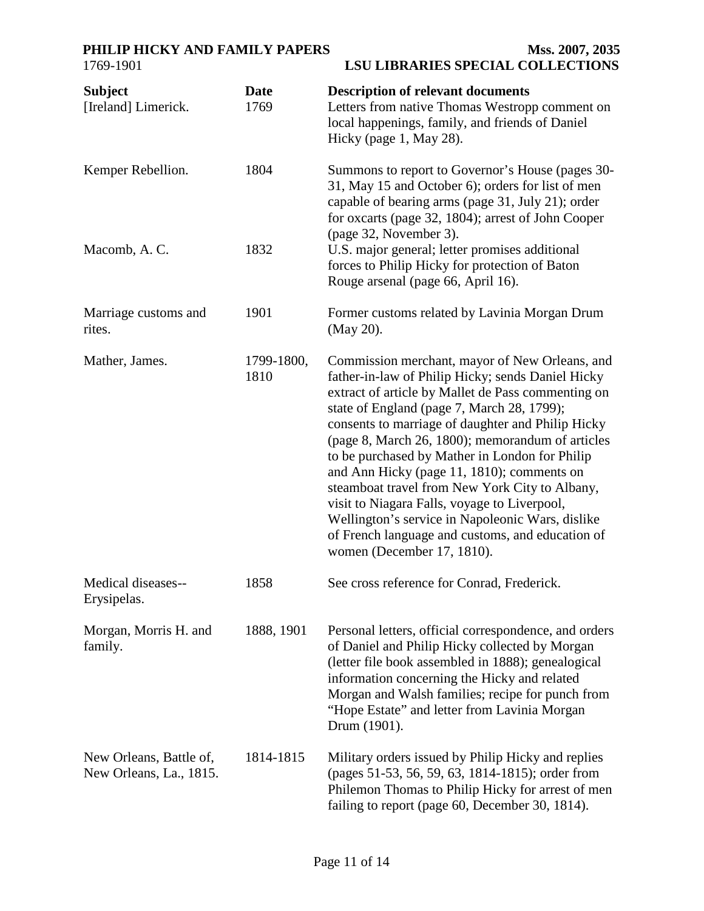| <b>Subject</b><br>[Ireland] Limerick.              | <b>Date</b><br>1769 | <b>Description of relevant documents</b><br>Letters from native Thomas Westropp comment on<br>local happenings, family, and friends of Daniel<br>Hicky (page 1, May 28).                                                                                                                                                                                                                                                                                                                                                                                                                                                                                 |
|----------------------------------------------------|---------------------|----------------------------------------------------------------------------------------------------------------------------------------------------------------------------------------------------------------------------------------------------------------------------------------------------------------------------------------------------------------------------------------------------------------------------------------------------------------------------------------------------------------------------------------------------------------------------------------------------------------------------------------------------------|
| Kemper Rebellion.                                  | 1804                | Summons to report to Governor's House (pages 30-<br>31, May 15 and October 6); orders for list of men<br>capable of bearing arms (page 31, July 21); order<br>for oxcarts (page 32, 1804); arrest of John Cooper                                                                                                                                                                                                                                                                                                                                                                                                                                         |
| Macomb, A.C.                                       | 1832                | (page 32, November 3).<br>U.S. major general; letter promises additional<br>forces to Philip Hicky for protection of Baton<br>Rouge arsenal (page 66, April 16).                                                                                                                                                                                                                                                                                                                                                                                                                                                                                         |
| Marriage customs and<br>rites.                     | 1901                | Former customs related by Lavinia Morgan Drum<br>(May 20).                                                                                                                                                                                                                                                                                                                                                                                                                                                                                                                                                                                               |
| Mather, James.                                     | 1799-1800,<br>1810  | Commission merchant, mayor of New Orleans, and<br>father-in-law of Philip Hicky; sends Daniel Hicky<br>extract of article by Mallet de Pass commenting on<br>state of England (page 7, March 28, 1799);<br>consents to marriage of daughter and Philip Hicky<br>(page 8, March 26, 1800); memorandum of articles<br>to be purchased by Mather in London for Philip<br>and Ann Hicky (page 11, 1810); comments on<br>steamboat travel from New York City to Albany,<br>visit to Niagara Falls, voyage to Liverpool,<br>Wellington's service in Napoleonic Wars, dislike<br>of French language and customs, and education of<br>women (December 17, 1810). |
| Medical diseases--<br>Erysipelas.                  | 1858                | See cross reference for Conrad, Frederick.                                                                                                                                                                                                                                                                                                                                                                                                                                                                                                                                                                                                               |
| Morgan, Morris H. and<br>family.                   | 1888, 1901          | Personal letters, official correspondence, and orders<br>of Daniel and Philip Hicky collected by Morgan<br>(letter file book assembled in 1888); genealogical<br>information concerning the Hicky and related<br>Morgan and Walsh families; recipe for punch from<br>"Hope Estate" and letter from Lavinia Morgan<br>Drum (1901).                                                                                                                                                                                                                                                                                                                        |
| New Orleans, Battle of,<br>New Orleans, La., 1815. | 1814-1815           | Military orders issued by Philip Hicky and replies<br>(pages 51-53, 56, 59, 63, 1814-1815); order from<br>Philemon Thomas to Philip Hicky for arrest of men<br>failing to report (page 60, December 30, 1814).                                                                                                                                                                                                                                                                                                                                                                                                                                           |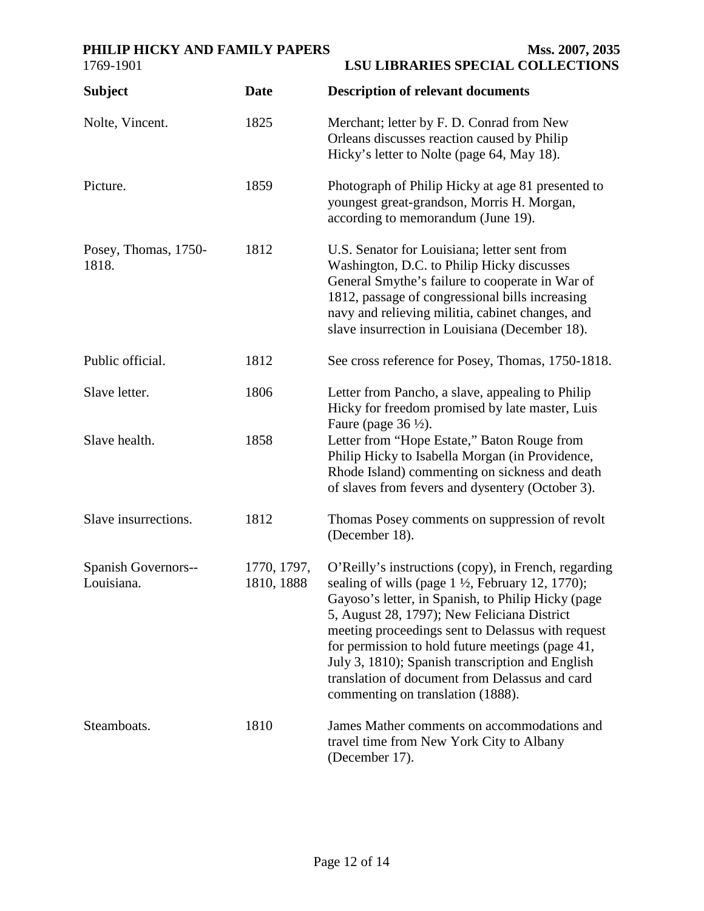## PHILIP HICKY AND FAMILY PAPERS Mss. 2007, 2035

| 1769-1901                         |                           | <b>LSU LIBRARIES SPECIAL COLLECTIONS</b>                                                                                                                                                                                                                                                                                                                                                                                                                                     |
|-----------------------------------|---------------------------|------------------------------------------------------------------------------------------------------------------------------------------------------------------------------------------------------------------------------------------------------------------------------------------------------------------------------------------------------------------------------------------------------------------------------------------------------------------------------|
| <b>Subject</b>                    | <b>Date</b>               | <b>Description of relevant documents</b>                                                                                                                                                                                                                                                                                                                                                                                                                                     |
| Nolte, Vincent.                   | 1825                      | Merchant; letter by F. D. Conrad from New<br>Orleans discusses reaction caused by Philip<br>Hicky's letter to Nolte (page 64, May 18).                                                                                                                                                                                                                                                                                                                                       |
| Picture.                          | 1859                      | Photograph of Philip Hicky at age 81 presented to<br>youngest great-grandson, Morris H. Morgan,<br>according to memorandum (June 19).                                                                                                                                                                                                                                                                                                                                        |
| Posey, Thomas, 1750-<br>1818.     | 1812                      | U.S. Senator for Louisiana; letter sent from<br>Washington, D.C. to Philip Hicky discusses<br>General Smythe's failure to cooperate in War of<br>1812, passage of congressional bills increasing<br>navy and relieving militia, cabinet changes, and<br>slave insurrection in Louisiana (December 18).                                                                                                                                                                       |
| Public official.                  | 1812                      | See cross reference for Posey, Thomas, 1750-1818.                                                                                                                                                                                                                                                                                                                                                                                                                            |
| Slave letter.                     | 1806                      | Letter from Pancho, a slave, appealing to Philip<br>Hicky for freedom promised by late master, Luis<br>Faure (page $36\frac{1}{2}$ ).                                                                                                                                                                                                                                                                                                                                        |
| Slave health.                     | 1858                      | Letter from "Hope Estate," Baton Rouge from<br>Philip Hicky to Isabella Morgan (in Providence,<br>Rhode Island) commenting on sickness and death<br>of slaves from fevers and dysentery (October 3).                                                                                                                                                                                                                                                                         |
| Slave insurrections.              | 1812                      | Thomas Posey comments on suppression of revolt<br>(December 18).                                                                                                                                                                                                                                                                                                                                                                                                             |
| Spanish Governors--<br>Louisiana. | 1770, 1797,<br>1810, 1888 | O'Reilly's instructions (copy), in French, regarding<br>sealing of wills (page $1\frac{1}{2}$ , February 12, 1770);<br>Gayoso's letter, in Spanish, to Philip Hicky (page<br>5, August 28, 1797); New Feliciana District<br>meeting proceedings sent to Delassus with request<br>for permission to hold future meetings (page 41,<br>July 3, 1810); Spanish transcription and English<br>translation of document from Delassus and card<br>commenting on translation (1888). |
| Steamboats.                       | 1810                      | James Mather comments on accommodations and<br>travel time from New York City to Albany<br>(December 17).                                                                                                                                                                                                                                                                                                                                                                    |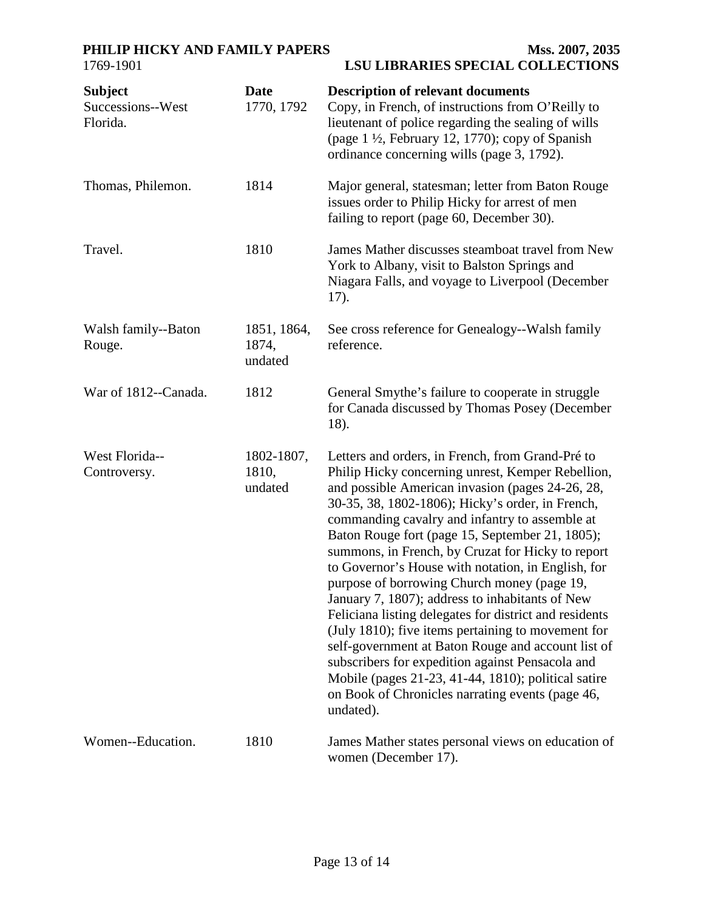# PHILIP HICKY AND FAMILY PAPERS Mss. 2007, 2035

| <b>Subject</b><br>Successions--West<br>Florida. | <b>Date</b><br>1770, 1792       | <b>Description of relevant documents</b><br>Copy, in French, of instructions from O'Reilly to<br>lieutenant of police regarding the sealing of wills<br>(page 1 1/2, February 12, 1770); copy of Spanish<br>ordinance concerning wills (page 3, 1792).                                                                                                                                                                                                                                                                                                                                                                                                                                                                                                                                                                                                                            |
|-------------------------------------------------|---------------------------------|-----------------------------------------------------------------------------------------------------------------------------------------------------------------------------------------------------------------------------------------------------------------------------------------------------------------------------------------------------------------------------------------------------------------------------------------------------------------------------------------------------------------------------------------------------------------------------------------------------------------------------------------------------------------------------------------------------------------------------------------------------------------------------------------------------------------------------------------------------------------------------------|
| Thomas, Philemon.                               | 1814                            | Major general, statesman; letter from Baton Rouge<br>issues order to Philip Hicky for arrest of men<br>failing to report (page 60, December 30).                                                                                                                                                                                                                                                                                                                                                                                                                                                                                                                                                                                                                                                                                                                                  |
| Travel.                                         | 1810                            | James Mather discusses steamboat travel from New<br>York to Albany, visit to Balston Springs and<br>Niagara Falls, and voyage to Liverpool (December<br>17).                                                                                                                                                                                                                                                                                                                                                                                                                                                                                                                                                                                                                                                                                                                      |
| Walsh family--Baton<br>Rouge.                   | 1851, 1864,<br>1874,<br>undated | See cross reference for Genealogy--Walsh family<br>reference.                                                                                                                                                                                                                                                                                                                                                                                                                                                                                                                                                                                                                                                                                                                                                                                                                     |
| War of 1812--Canada.                            | 1812                            | General Smythe's failure to cooperate in struggle<br>for Canada discussed by Thomas Posey (December<br>18).                                                                                                                                                                                                                                                                                                                                                                                                                                                                                                                                                                                                                                                                                                                                                                       |
| West Florida--<br>Controversy.                  | 1802-1807,<br>1810,<br>undated  | Letters and orders, in French, from Grand-Pré to<br>Philip Hicky concerning unrest, Kemper Rebellion,<br>and possible American invasion (pages 24-26, 28,<br>30-35, 38, 1802-1806); Hicky's order, in French,<br>commanding cavalry and infantry to assemble at<br>Baton Rouge fort (page 15, September 21, 1805);<br>summons, in French, by Cruzat for Hicky to report<br>to Governor's House with notation, in English, for<br>purpose of borrowing Church money (page 19,<br>January 7, 1807); address to inhabitants of New<br>Feliciana listing delegates for district and residents<br>(July 1810); five items pertaining to movement for<br>self-government at Baton Rouge and account list of<br>subscribers for expedition against Pensacola and<br>Mobile (pages 21-23, 41-44, 1810); political satire<br>on Book of Chronicles narrating events (page 46,<br>undated). |
| Women--Education.                               | 1810                            | James Mather states personal views on education of<br>women (December 17).                                                                                                                                                                                                                                                                                                                                                                                                                                                                                                                                                                                                                                                                                                                                                                                                        |